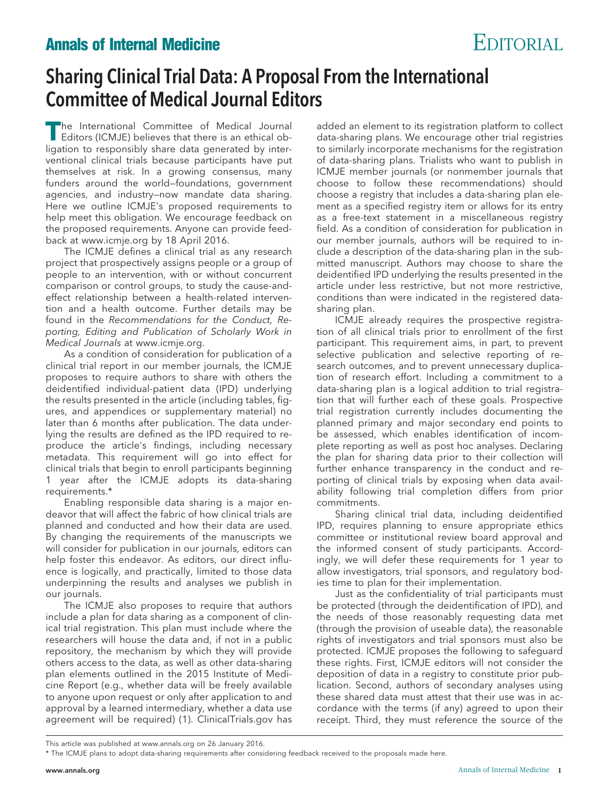## **Annals of Internal Medicine** EDITORIAL

## Sharing Clinical Trial Data: A Proposal From the International Committee of Medical Journal Editors

**T**he International Committee of Medical Journal Editors (ICMJE) believes that there is an ethical obligation to responsibly share data generated by interventional clinical trials because participants have put themselves at risk. In a growing consensus, many funders around the world—foundations, government agencies, and industry—now mandate data sharing. Here we outline ICMJE's proposed requirements to help meet this obligation. We encourage feedback on the proposed requirements. Anyone can provide feedback at [www.icmje.org](http://www.icmje.org) by 18 April 2016.

The ICMJE defines a clinical trial as any research project that prospectively assigns people or a group of people to an intervention, with or without concurrent comparison or control groups, to study the cause-andeffect relationship between a health-related intervention and a health outcome. Further details may be found in the Recommendations for the Conduct, Reporting, Editing and Publication of Scholarly Work in Medical Journals at [www.icmje.org.](http://www.icmje.org)

As a condition of consideration for publication of a clinical trial report in our member journals, the ICMJE proposes to require authors to share with others the deidentified individual-patient data (IPD) underlying the results presented in the article (including tables, figures, and appendices or supplementary material) no later than 6 months after publication. The data underlying the results are defined as the IPD required to reproduce the article's findings, including necessary metadata. This requirement will go into effect for clinical trials that begin to enroll participants beginning 1 year after the ICMJE adopts its data-sharing requirements.\*

Enabling responsible data sharing is a major endeavor that will affect the fabric of how clinical trials are planned and conducted and how their data are used. By changing the requirements of the manuscripts we will consider for publication in our journals, editors can help foster this endeavor. As editors, our direct influence is logically, and practically, limited to those data underpinning the results and analyses we publish in our journals.

The ICMJE also proposes to require that authors include a plan for data sharing as a component of clinical trial registration. This plan must include where the researchers will house the data and, if not in a public repository, the mechanism by which they will provide others access to the data, as well as other data-sharing plan elements outlined in the 2015 Institute of Medicine Report (e.g., whether data will be freely available to anyone upon request or only after application to and approval by a learned intermediary, whether a data use agreement will be required) (1). ClinicalTrials.gov has

added an element to its registration platform to collect data-sharing plans. We encourage other trial registries to similarly incorporate mechanisms for the registration of data-sharing plans. Trialists who want to publish in ICMJE member journals (or nonmember journals that choose to follow these recommendations) should choose a registry that includes a data-sharing plan element as a specified registry item or allows for its entry as a free-text statement in a miscellaneous registry field. As a condition of consideration for publication in our member journals, authors will be required to include a description of the data-sharing plan in the submitted manuscript. Authors may choose to share the deidentified IPD underlying the results presented in the article under less restrictive, but not more restrictive, conditions than were indicated in the registered datasharing plan.

ICMJE already requires the prospective registration of all clinical trials prior to enrollment of the first participant. This requirement aims, in part, to prevent selective publication and selective reporting of research outcomes, and to prevent unnecessary duplication of research effort. Including a commitment to a data-sharing plan is a logical addition to trial registration that will further each of these goals. Prospective trial registration currently includes documenting the planned primary and major secondary end points to be assessed, which enables identification of incomplete reporting as well as post hoc analyses. Declaring the plan for sharing data prior to their collection will further enhance transparency in the conduct and reporting of clinical trials by exposing when data availability following trial completion differs from prior commitments.

Sharing clinical trial data, including deidentified IPD, requires planning to ensure appropriate ethics committee or institutional review board approval and the informed consent of study participants. Accordingly, we will defer these requirements for 1 year to allow investigators, trial sponsors, and regulatory bodies time to plan for their implementation.

Just as the confidentiality of trial participants must be protected (through the deidentification of IPD), and the needs of those reasonably requesting data met (through the provision of useable data), the reasonable rights of investigators and trial sponsors must also be protected. ICMJE proposes the following to safeguard these rights. First, ICMJE editors will not consider the deposition of data in a registry to constitute prior publication. Second, authors of secondary analyses using these shared data must attest that their use was in accordance with the terms (if any) agreed to upon their receipt. Third, they must reference the source of the

This article was published at www.annal[s.org](http://www.annals.org) on 26 January 2016.

<sup>\*</sup> The ICMJE plans to adopt data-sharing requirements after considering feedback received to the proposals made here.